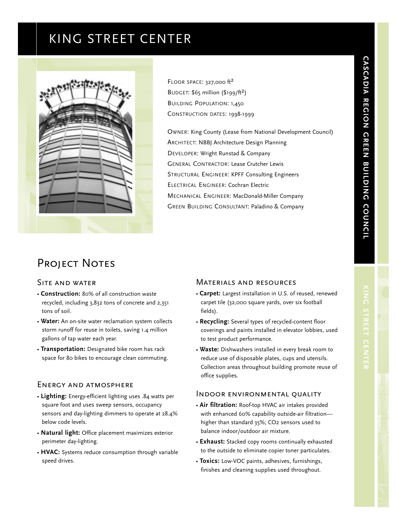# KING STREET CENTER



FLOOR SPACE: 327,000 ft<sup>2</sup> BUDGET:  $$65$  million ( $$199/ft^2$ ) BUILDING POPULATION: 1,450 CONSTRUCTION DATES: 1998-1999

OWNER: King County (Lease from National Development Council) ARCHITECT: NBBJ Architecture Design Planning DEVELOPER: Wright Runstad & Company GENERAL CONTRACTOR: Lease Crutcher Lewis STRUCTURAL ENGINEER: KPFF Consulting Engineers ELECTRICAL ENGINEER: Cochran Electric MECHANICAL ENGINEER: MacDonald-Miller Company GREEN BUILDING CONSULTANT: Paladino & Company

# Project Notes

### Site and water

- **Construction:** 80% of all construction waste recycled, including 3,832 tons of concrete and 2,351 tons of soil.
- **Water:** An on-site water reclamation system collects storm runoff for reuse in toilets, saving 1.4 million gallons of tap water each year.
- **Transportation:** Designated bike room has rack space for 80 bikes to encourage clean commuting.

## Energy and atmosphere

- **Lighting:** Energy-efficient lighting uses .84 watts per square foot and uses sweep sensors, occupancy sensors and day-lighting dimmers to operate at 28.4% below code levels.
- **Natural light:** Office placement maximizes exterior perimeter day-lighting.
- **HVAC:** Systems reduce consumption through variable speed drives.

#### Materials and resources

- **Carpet:** Largest installation in U.S. of reused, renewed carpet tile (32,000 square yards, over six football fields).
- **Recycling:** Several types of recycled-content floor coverings and paints installed in elevator lobbies, used to test product performance.
- **Waste:** Dishwashers installed in every break room to reduce use of disposable plates, cups and utensils. Collection areas throughout building promote reuse of office supplies.

# Indoor environmental quality

- **Air filtration:** Roof-top HVAC air intakes provided with enhanced 60% capability outside-air filtration higher than standard 35%; CO2 sensors used to balance indoor/outdoor air mixture.
- **Exhaust:** Stacked copy rooms continually exhausted to the outside to eliminate copier toner particulates.
- **Toxics:** Low-VOC paints, adhesives, furnishings, finishes and cleaning supplies used throughout.

**CASCADIA**

**REGION**

**CREEN**<br> **CREEN** 

**BUILDING**

**COUNCIL**